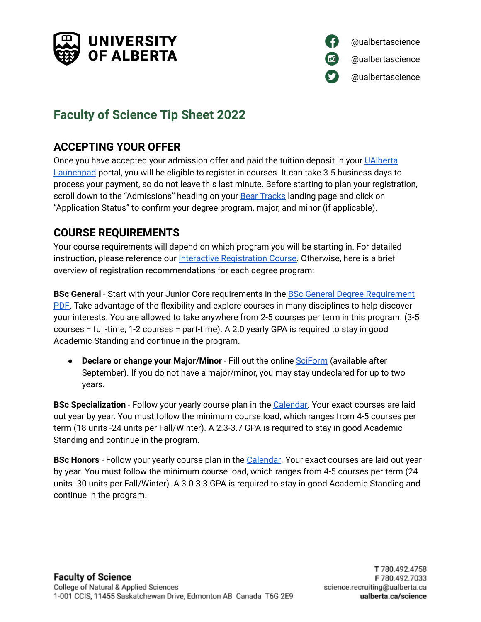



# **Faculty of Science Tip Sheet 2022**

# **ACCEPTING YOUR OFFER**

Once you have accepted your admission offer and paid the tuition deposit in your [UAlberta](https://apply.ualberta.ca/account/login?r=https%3a%2f%2fapply.ualberta.ca%2fportal%2fstatus) [Launchpad](https://apply.ualberta.ca/account/login?r=https%3a%2f%2fapply.ualberta.ca%2fportal%2fstatus) portal, you will be eligible to register in courses. It can take 3-5 business days to process your payment, so do not leave this last minute. Before starting to plan your registration, scroll down to the "Admissions" heading on your **Bear [Tracks](https://www.beartracks.ualberta.ca/) landing page and click on** "Application Status" to confirm your degree program, major, and minor (if applicable).

# **COURSE REQUIREMENTS**

Your course requirements will depend on which program you will be starting in. For detailed instruction, please reference our Interactive [Registration](https://rise.articulate.com/share/q4Hh0RCAVdmuCHx-QzH5X8SZi2T9vD2c#/) Course. Otherwise, here is a brief overview of registration recommendations for each degree program:

**BSc General** - Start with your Junior Core requirements in the BSc General Degree [Requirement](https://www.ualberta.ca/science/media-library/studentservices/documents/bsc-general-degree-sheet_nov21.pdf) [PDF.](https://www.ualberta.ca/science/media-library/studentservices/documents/bsc-general-degree-sheet_nov21.pdf) Take advantage of the flexibility and explore courses in many disciplines to help discover your interests. You are allowed to take anywhere from 2-5 courses per term in this program. (3-5 courses = full-time, 1-2 courses = part-time). A 2.0 yearly GPA is required to stay in good Academic Standing and continue in the program.

● **Declare or change your Major/Minor** - Fill out the online [SciForm](https://webforms.science.ualberta.ca/sessions/new) (available after September). If you do not have a major/minor, you may stay undeclared for up to two years.

**BSc Specialization** - Follow your yearly course plan in the [Calendar.](https://calendar.ualberta.ca/preview_program.php?catoid=36&poid=42306&returnto=11345) Your exact courses are laid out year by year. You must follow the minimum course load, which ranges from 4-5 courses per term (18 units -24 units per Fall/Winter). A 2.3-3.7 GPA is required to stay in good Academic Standing and continue in the program.

**BSc Honors** - Follow your yearly course plan in the [Calendar.](https://calendar.ualberta.ca/preview_program.php?catoid=36&poid=42307&returnto=11345) Your exact courses are laid out year by year. You must follow the minimum course load, which ranges from 4-5 courses per term (24 units -30 units per Fall/Winter). A 3.0-3.3 GPA is required to stay in good Academic Standing and continue in the program.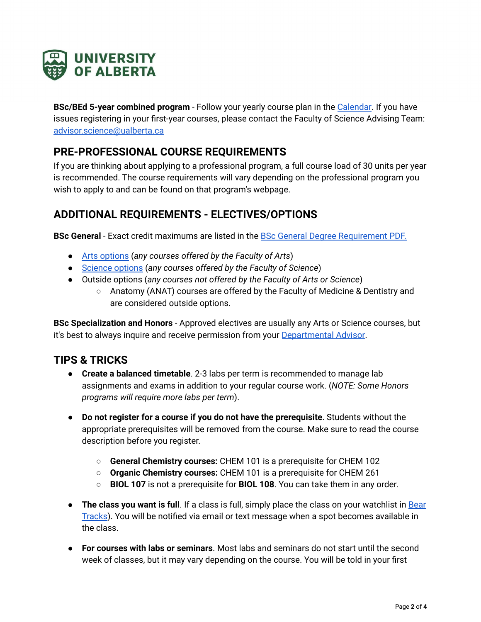

**BSc/BEd 5-year combined program** - Follow your yearly course plan in the [Calendar](https://calendar.ualberta.ca/preview_program.php?catoid=36&poid=42555&returnto=11345). If you have issues registering in your first-year courses, please contact the Faculty of Science Advising Team: [advisor.science@ualberta.ca](mailto:advisor.science@ualberta.ca)

# **PRE-PROFESSIONAL COURSE REQUIREMENTS**

If you are thinking about applying to a professional program, a full course load of 30 units per year is recommended. The course requirements will vary depending on the professional program you wish to apply to and can be found on that program's webpage.

### **ADDITIONAL REQUIREMENTS - ELECTIVES/OPTIONS**

**BSc General** - Exact credit maximums are listed in the BSc General Degree [Requirement](https://www.ualberta.ca/science/media-library/studentservices/documents/bsc-general-degree-sheet_nov21.pdf) PDF.

- Arts [options](https://www.ualberta.ca/science/media-library/studentservices/documents/arts,-science,-intd-and-psych-courses.pdf) (*any courses offered by the Faculty of Arts*)
- [Science](https://www.ualberta.ca/science/media-library/studentservices/documents/arts,-science,-intd-and-psych-courses.pdf) options (*any courses offered by the Faculty of Science*)
- Outside options (*any courses not offered by the Faculty of Arts or Science*)
	- Anatomy (ANAT) courses are offered by the Faculty of Medicine & Dentistry and are considered outside options.

**BSc Specialization and Honors** - Approved electives are usually any Arts or Science courses, but it's best to always inquire and receive permission from your [Departmental](https://www.ualberta.ca/science/media-library/studentservices/documents/department-advisor-contacts-dec24-2021.pdf) Advisor.

### **TIPS & TRICKS**

- **Create a balanced timetable**. 2-3 labs per term is recommended to manage lab assignments and exams in addition to your regular course work. (*NOTE: Some Honors programs will require more labs per term*).
- **Do not register for a course if you do not have the prerequisite**. Students without the appropriate prerequisites will be removed from the course. Make sure to read the course description before you register.
	- **General Chemistry courses:** CHEM 101 is a prerequisite for CHEM 102
	- **Organic Chemistry courses:** CHEM 101 is a prerequisite for CHEM 261
	- **BIOL 107** is not a prerequisite for **BIOL 108**. You can take them in any order.
- **The class you want is full**. If a class is full, simply place the class on your watchlist in [Bear](https://www.beartracks.ualberta.ca/) [Tracks\)](https://www.beartracks.ualberta.ca/). You will be notified via email or text message when a spot becomes available in the class.
- **For courses with labs or seminars**. Most labs and seminars do not start until the second week of classes, but it may vary depending on the course. You will be told in your first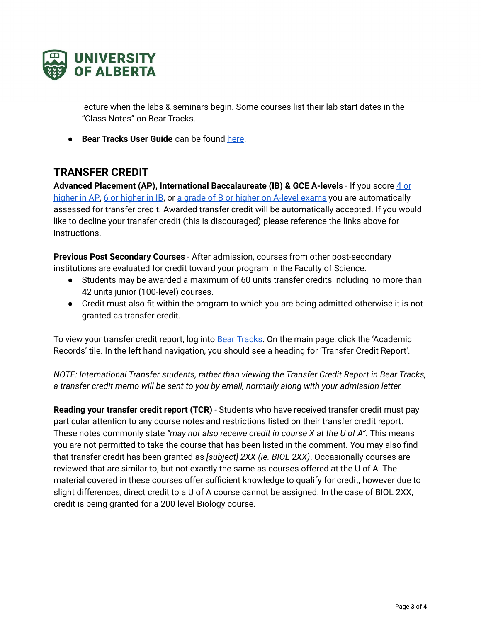

lecture when the labs & seminars begin. Some courses list their lab start dates in the "Class Notes" on Bear Tracks.

● **Bear Tracks User Guide** can be found [here.](https://www.ualberta.ca/registrar/registration-and-courses/bear-tracks-resources/index.html)

### **TRANSFER CREDIT**

**Advanced Placement (AP), International Baccalaureate (IB) & GCE A-levels** - If you score 4 [or](https://www.ualberta.ca/admissions/undergraduate/resources/ap-students/advanced-standing-transfer-credit.html?ed-standing-ap-courses.html?) [higher](https://www.ualberta.ca/admissions/undergraduate/resources/ib-students/advanced-standing-transfer-credit.html?) in AP, 6 or higher in IB, or a grade of B or higher on A-level [exams](https://www.ualberta.ca/admissions/international/admission/admission-requirements/international-course-equivalencies/gce-british-curriculum/gce-transfer.html?) you are automatically assessed for transfer credit. Awarded transfer credit will be automatically accepted. If you would like to decline your transfer credit (this is discouraged) please reference the links above for instructions.

**Previous Post Secondary Courses** - After admission, courses from other post-secondary institutions are evaluated for credit toward your program in the Faculty of Science.

- Students may be awarded a maximum of 60 units transfer credits including no more than 42 units junior (100-level) courses.
- Credit must also fit within the program to which you are being admitted otherwise it is not granted as transfer credit.

To view your transfer credit report, log into Bear [Tracks](http://uab.ca/beartracks). On the main page, click the 'Academic Records' tile. In the left hand navigation, you should see a heading for 'Transfer Credit Report'.

*NOTE: International Transfer students, rather than viewing the Transfer Credit Report in Bear Tracks, a transfer credit memo will be sent to you by email, normally along with your admission letter.*

**Reading your transfer credit report (TCR)** - Students who have received transfer credit must pay particular attention to any course notes and restrictions listed on their transfer credit report. These notes commonly state *"may not also receive credit in course X at the U of A"*. This means you are not permitted to take the course that has been listed in the comment. You may also find that transfer credit has been granted as *[subject] 2XX (ie. BIOL 2XX)*. Occasionally courses are reviewed that are similar to, but not exactly the same as courses offered at the U of A. The material covered in these courses offer sufficient knowledge to qualify for credit, however due to slight differences, direct credit to a U of A course cannot be assigned. In the case of BIOL 2XX, credit is being granted for a 200 level Biology course.